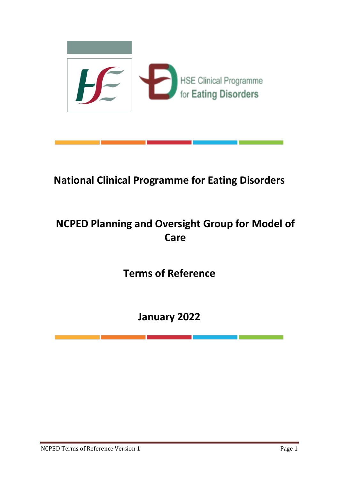

# **National Clinical Programme for Eating Disorders**

# **NCPED Planning and Oversight Group for Model of Care**

**Terms of Reference**

**January 2022**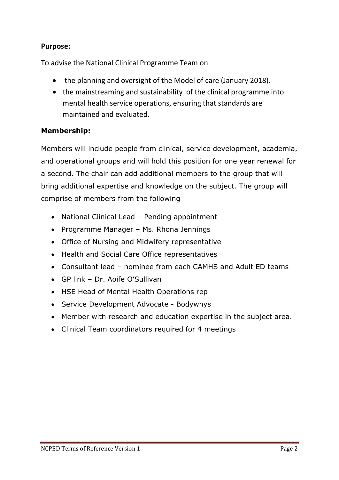## **Purpose:**

To advise the National Clinical Programme Team on

- the planning and oversight of the Model of care (January 2018).
- the mainstreaming and sustainability of the clinical programme into mental health service operations, ensuring that standards are maintained and evaluated.

## **Membership:**

Members will include people from clinical, service development, academia, and operational groups and will hold this position for one year renewal for a second. The chair can add additional members to the group that will bring additional expertise and knowledge on the subject. The group will comprise of members from the following

- National Clinical Lead Pending appointment
- Programme Manager Ms. Rhona Jennings
- Office of Nursing and Midwifery representative
- Health and Social Care Office representatives
- Consultant lead nominee from each CAMHS and Adult ED teams
- GP link Dr. Aoife O'Sullivan
- HSE Head of Mental Health Operations rep
- Service Development Advocate Bodywhys
- Member with research and education expertise in the subject area.
- Clinical Team coordinators required for 4 meetings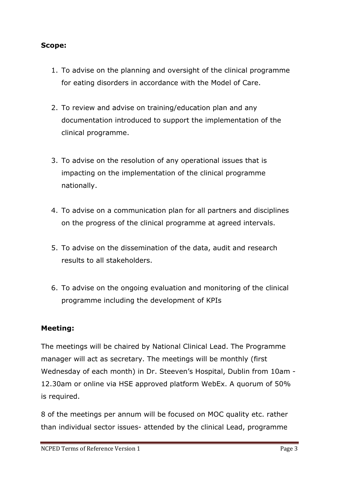#### **Scope:**

- 1. To advise on the planning and oversight of the clinical programme for eating disorders in accordance with the Model of Care.
- 2. To review and advise on training/education plan and any documentation introduced to support the implementation of the clinical programme.
- 3. To advise on the resolution of any operational issues that is impacting on the implementation of the clinical programme nationally.
- 4. To advise on a communication plan for all partners and disciplines on the progress of the clinical programme at agreed intervals.
- 5. To advise on the dissemination of the data, audit and research results to all stakeholders.
- 6. To advise on the ongoing evaluation and monitoring of the clinical programme including the development of KPIs

#### **Meeting:**

The meetings will be chaired by National Clinical Lead. The Programme manager will act as secretary. The meetings will be monthly (first Wednesday of each month) in Dr. Steeven's Hospital, Dublin from 10am - 12.30am or online via HSE approved platform WebEx. A quorum of 50% is required.

8 of the meetings per annum will be focused on MOC quality etc. rather than individual sector issues- attended by the clinical Lead, programme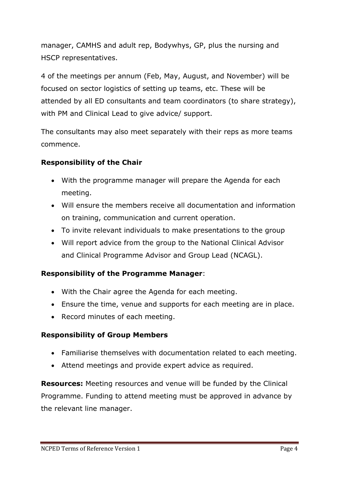manager, CAMHS and adult rep, Bodywhys, GP, plus the nursing and HSCP representatives.

4 of the meetings per annum (Feb, May, August, and November) will be focused on sector logistics of setting up teams, etc. These will be attended by all ED consultants and team coordinators (to share strategy), with PM and Clinical Lead to give advice/ support.

The consultants may also meet separately with their reps as more teams commence.

## **Responsibility of the Chair**

- With the programme manager will prepare the Agenda for each meeting.
- Will ensure the members receive all documentation and information on training, communication and current operation.
- To invite relevant individuals to make presentations to the group
- Will report advice from the group to the National Clinical Advisor and Clinical Programme Advisor and Group Lead (NCAGL).

## **Responsibility of the Programme Manager**:

- With the Chair agree the Agenda for each meeting.
- Ensure the time, venue and supports for each meeting are in place.
- Record minutes of each meeting.

## **Responsibility of Group Members**

- Familiarise themselves with documentation related to each meeting.
- Attend meetings and provide expert advice as required.

**Resources:** Meeting resources and venue will be funded by the Clinical Programme. Funding to attend meeting must be approved in advance by the relevant line manager.